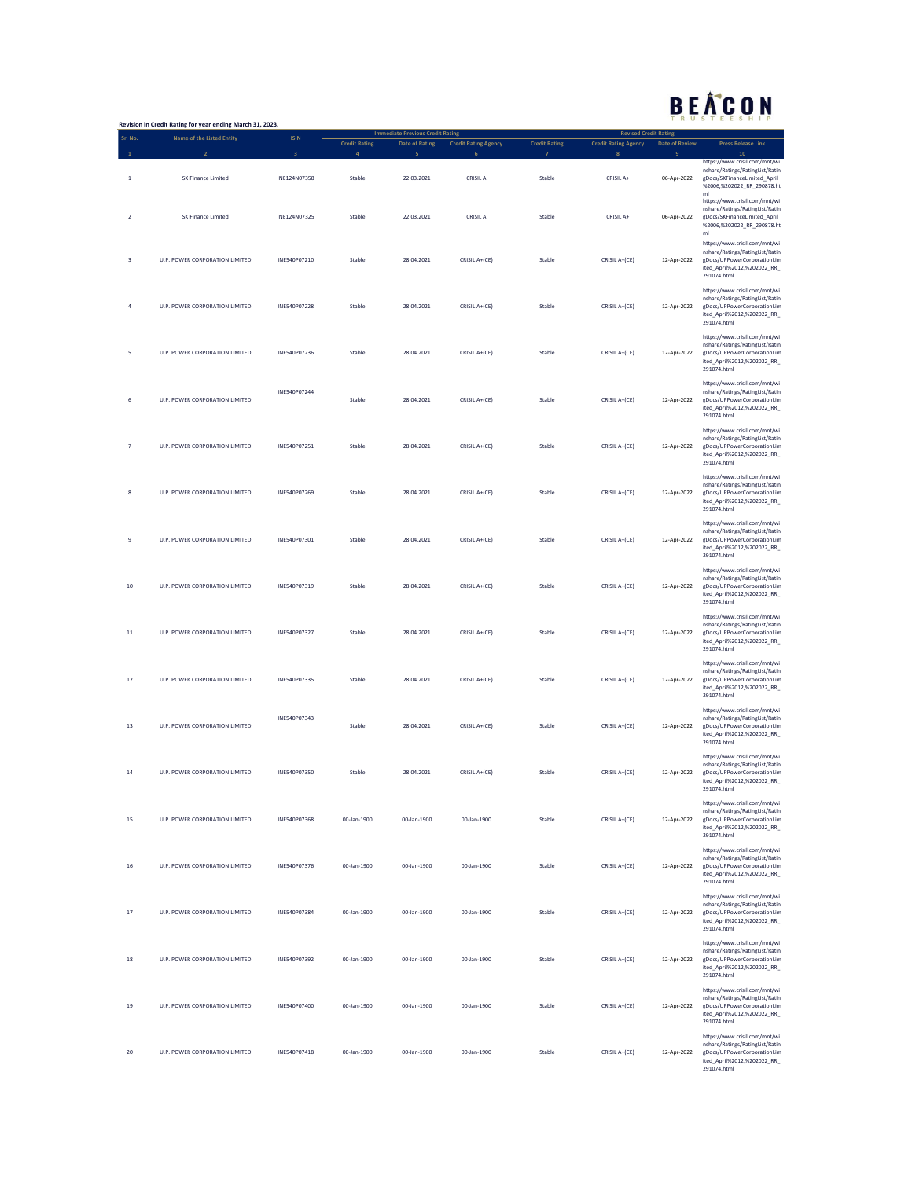## BEACON

| Revision in Credit Rating for year ending March 31, 2023. |                                  |              |                      |                                                                  |                             |                      |                                                             | <b>TRUSTEESHIP</b>    |                                                                                                                                               |
|-----------------------------------------------------------|----------------------------------|--------------|----------------------|------------------------------------------------------------------|-----------------------------|----------------------|-------------------------------------------------------------|-----------------------|-----------------------------------------------------------------------------------------------------------------------------------------------|
| Sr. No.                                                   | <b>Name of the Listed Entity</b> | <b>ISIN</b>  | <b>Credit Rating</b> | <b>Immediate Previous Credit Rating</b><br><b>Date of Rating</b> | <b>Credit Rating Agency</b> | <b>Credit Rating</b> | <b>Revised Credit Rating</b><br><b>Credit Rating Agency</b> | <b>Date of Review</b> | <b>Press Release Link</b>                                                                                                                     |
| $\,$ 1                                                    | <b>SK Finance Limited</b>        | INE124N07358 | Stable               | 22.03.2021                                                       | CRISIL A                    | Stable               | CRISIL A+                                                   | 06-Apr-2022           | 10<br>https://www.crisil.com/mnt/wi<br>nshare/Ratings/RatingList/Ratin<br>gDocs/SKFinanceLimited_April<br>%2006,%202022_RR_290878.ht          |
| $\overline{2}$                                            | <b>SK Finance Limited</b>        | INE124N07325 | Stable               | 22.03.2021                                                       | CRISIL A                    | Stable               | CRISIL A+                                                   | 06-Apr-2022           | ml<br>https://www.crisil.com/mnt/wi<br>nshare/Ratings/RatingList/Ratin<br>gDocs/SKFinanceLimited_April<br>%2006,%202022_RR_290878.ht<br>ml    |
| 3                                                         | U.P. POWER CORPORATION LIMITED   | INE540P07210 | Stable               | 28.04.2021                                                       | CRISIL A+(CE)               | Stable               | CRISIL A+(CE)                                               | 12-Apr-2022           | https://www.crisil.com/mnt/wi<br>nshare/Ratings/RatingList/Ratin<br>gDocs/UPPowerCorporationLim<br>ited_April%2012,%202022_RR_<br>291074.html |
| 4                                                         | U.P. POWER CORPORATION LIMITED   | INF540P07228 | Stable               | 28.04.2021                                                       | CRISIL A+(CE)               | Stable               | CRISIL A+(CE)                                               | 12-Apr-2022           | https://www.crisil.com/mnt/wi<br>nshare/Ratings/RatingList/Ratin<br>gDocs/UPPowerCorporationLim<br>ited_April%2012,%202022_RR_<br>291074.html |
| 5                                                         | U.P. POWER CORPORATION LIMITED   | INE540P07236 | Stable               | 28.04.2021                                                       | CRISIL A+(CE)               | Stable               | CRISIL A+(CE)                                               | 12-Apr-2022           | https://www.crisil.com/mnt/wi<br>nshare/Ratings/RatingList/Ratin<br>gDocs/UPPowerCorporationLim<br>ited_April%2012,%202022_RR_<br>291074.html |
| 6                                                         | U.P. POWER CORPORATION LIMITED   | INE540P07244 | Stable               | 28.04.2021                                                       | CRISIL A+(CE)               | Stable               | CRISIL A+(CE)                                               | 12-Apr-2022           | https://www.crisil.com/mnt/wi<br>nshare/Ratings/RatingList/Ratin<br>gDocs/UPPowerCorporationLim<br>ited_April%2012,%202022_RR_<br>291074.html |
| $\overline{7}$                                            | U.P. POWER CORPORATION LIMITED   | INE540P07251 | Stable               | 28.04.2021                                                       | CRISIL A+(CE)               | Stable               | CRISIL A+(CE)                                               | 12-Apr-2022           | https://www.crisil.com/mnt/wi<br>nshare/Ratings/RatingList/Ratin<br>gDocs/UPPowerCorporationLim<br>ited_April%2012,%202022_RR_<br>291074.html |
| 8                                                         | U.P. POWER CORPORATION LIMITED   | INE540P07269 | Stable               | 28.04.2021                                                       | CRISIL A+(CE)               | Stable               | CRISIL A+(CE)                                               | 12-Apr-2022           | https://www.crisil.com/mnt/wi<br>nshare/Ratings/RatingList/Ratin<br>gDocs/UPPowerCorporationLim<br>ited_April%2012,%202022_RR_<br>291074.html |
| 9                                                         | U.P. POWER CORPORATION LIMITED   | INE540P07301 | Stable               | 28.04.2021                                                       | CRISIL A+(CE)               | Stable               | CRISIL A+(CE)                                               | 12-Apr-2022           | https://www.crisil.com/mnt/wi<br>nshare/Ratings/RatingList/Ratin<br>gDocs/UPPowerCorporationLim<br>ited_April%2012,%202022_RR_<br>291074.html |
| 10                                                        | U.P. POWER CORPORATION LIMITED   | INE540P07319 | Stable               | 28.04.2021                                                       | CRISIL A+(CE)               | Stable               | CRISIL A+(CE)                                               | 12-Apr-2022           | https://www.crisil.com/mnt/wi<br>nshare/Ratings/RatingList/Ratin<br>gDocs/UPPowerCorporationLim<br>ited_April%2012,%202022_RR_<br>291074.html |
| 11                                                        | U.P. POWER CORPORATION LIMITED   | INE540P07327 | Stable               | 28.04.2021                                                       | CRISIL A+(CE)               | Stable               | CRISIL A+(CE)                                               | 12-Apr-2022           | https://www.crisil.com/mnt/wi<br>nshare/Ratings/RatingList/Ratin<br>gDocs/UPPowerCorporationLim<br>ited_April%2012,%202022_RR_<br>291074.html |
| 12                                                        | U.P. POWER CORPORATION LIMITED   | INE540P07335 | Stable               | 28.04.2021                                                       | CRISIL A+(CE)               | Stable               | CRISIL A+(CE)                                               | 12-Apr-2022           | https://www.crisil.com/mnt/wi<br>nshare/Ratings/RatingList/Ratin<br>gDocs/UPPowerCorporationLim<br>ited_April%2012,%202022_RR_<br>291074.html |
| 13                                                        | U.P. POWER CORPORATION LIMITED   | INE540P07343 | Stable               | 28.04.2021                                                       | CRISIL A+(CE)               | Stable               | CRISIL A+(CE)                                               | 12-Apr-2022           | https://www.crisil.com/mnt/wi<br>nshare/Ratings/RatingList/Ratin<br>gDocs/UPPowerCorporationLim<br>ited_April%2012,%202022_RR_<br>291074.html |
| $14\,$                                                    | U.P. POWER CORPORATION LIMITED   | INE540P07350 | Stable               | 28.04.2021                                                       | CRISIL A+(CE)               | Stable               | CRISIL A+(CE)                                               | 12-Apr-2022           | https://www.crisil.com/mnt/wi<br>nshare/Ratings/RatingList/Ratin<br>gDocs/UPPowerCorporationLim<br>ited_April%2012,%202022_RR<br>291074.html  |
| 15                                                        | U.P. POWER CORPORATION LIMITED   | INE540P07368 | 00-Jan-1900          | 00-Jan-1900                                                      | 00-Jan-1900                 | Stable               | CRISIL A+(CE)                                               | 12-Apr-2022           | https://www.crisil.com/mnt/wi<br>nshare/Ratings/RatingList/Ratin<br>gDocs/UPPowerCorporationLim<br>ited_April%2012,%202022_RR_<br>291074.html |
| $16\,$                                                    | U.P. POWER CORPORATION LIMITED   | INE540P07376 | 00-Jan-1900          | 00-Jan-1900                                                      | 00-Jan-1900                 | Stable               | CRISIL A+(CE)                                               | 12-Apr-2022           | https://www.crisil.com/mnt/wi<br>nshare/Ratings/RatingList/Ratin<br>gDocs/UPPowerCorporationLim<br>ited_April%2012,%202022_RR_<br>291074.html |
| 17                                                        | U.P. POWER CORPORATION LIMITED   | INE540P07384 | 00-Jan-1900          | 00-Jan-1900                                                      | 00-Jan-1900                 | Stable               | CRISIL A+(CE)                                               | 12-Apr-2022           | https://www.crisil.com/mnt/wi<br>nshare/Ratings/RatingList/Ratin<br>gDocs/UPPowerCorporationLim<br>ited_April%2012,%202022_RR_<br>291074.html |
| 18                                                        | U.P. POWER CORPORATION LIMITED   | INE540P07392 | 00-Jan-1900          | 00-Jan-1900                                                      | 00-Jan-1900                 | Stable               | CRISIL A+(CE)                                               | 12-Apr-2022           | https://www.crisil.com/mnt/wi<br>nshare/Ratings/RatingList/Ratin<br>gDocs/UPPowerCorporationLim<br>ited_April%2012,%202022_RR_<br>291074.html |
| 19                                                        | U.P. POWER CORPORATION LIMITED   | INE540P07400 | 00-Jan-1900          | 00-Jan-1900                                                      | 00-Jan-1900                 | Stable               | CRISIL A+(CE)                                               | 12-Apr-2022           | https://www.crisil.com/mnt/wi<br>nshare/Ratings/RatingList/Ratin<br>gDocs/UPPowerCorporationLim<br>ited_April%2012,%202022_RR_<br>291074.html |
| 20                                                        | U.P. POWER CORPORATION LIMITED   | INE540P07418 | 00-Jan-1900          | 00-Jan-1900                                                      | 00-Jan-1900                 | Stable               | CRISIL A+(CE)                                               | 12-Apr-2022           | https://www.crisil.com/mnt/wi<br>nshare/Ratings/RatingList/Ratin<br>gDocs/UPPowerCorporationLim<br>ited_April%2012,%202022_RR_<br>291074.html |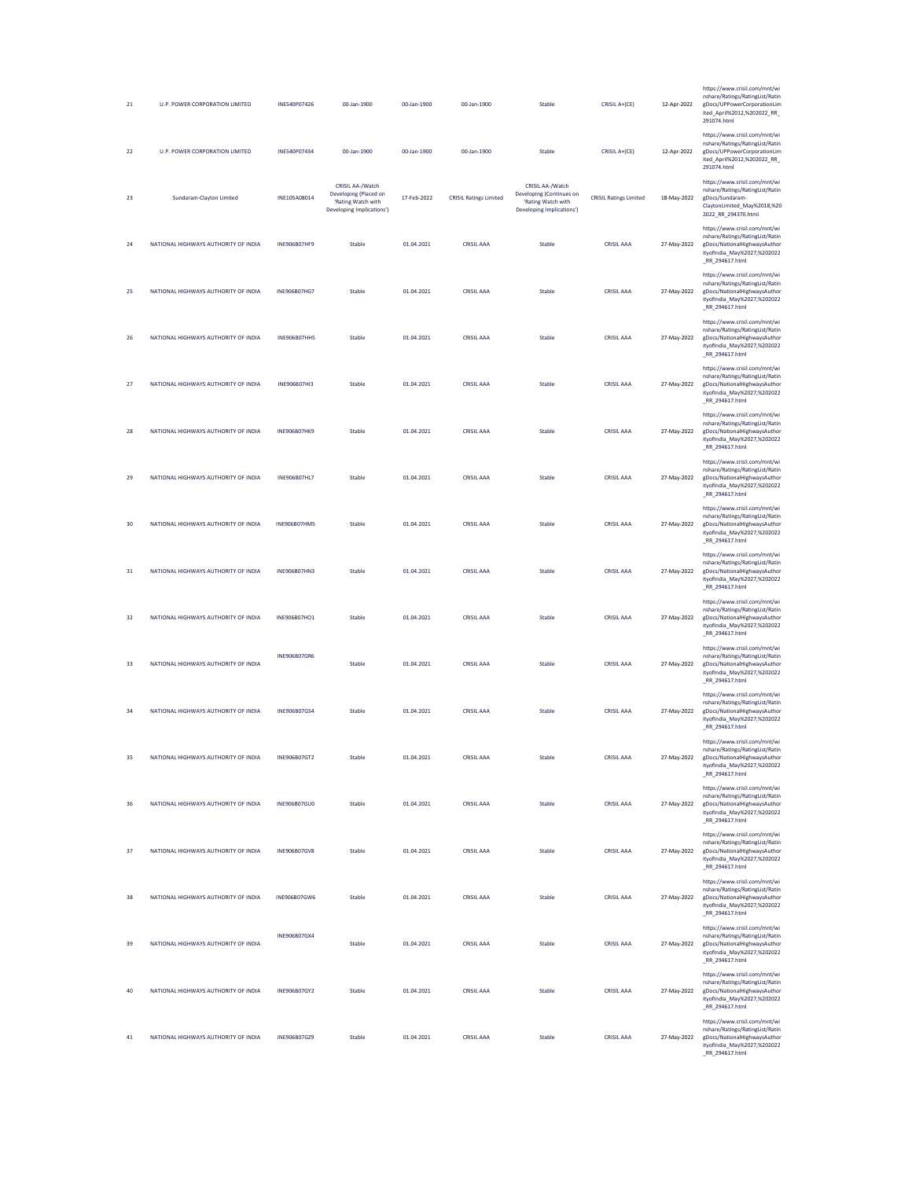| 21 | U.P. POWER CORPORATION LIMITED       | INE540P07426        | 00-Jan-1900                                                                                  | 00-Jan-1900 | 00-Jan-1900                   | Stable                                                                                          | CRISIL A+(CE)                 | 12-Apr-2022 | https://www.crisil.com/mnt/wi<br>nshare/Ratings/RatingList/Ratin<br>gDocs/UPPowerCorporationLim<br>ited_April%2012,%202022_RR_<br>291074.html      |
|----|--------------------------------------|---------------------|----------------------------------------------------------------------------------------------|-------------|-------------------------------|-------------------------------------------------------------------------------------------------|-------------------------------|-------------|----------------------------------------------------------------------------------------------------------------------------------------------------|
| 22 | U.P. POWER CORPORATION LIMITED       | INE540P07434        | 00-Jan-1900                                                                                  | 00-Jan-1900 | 00-Jan-1900                   | Stable                                                                                          | CRISIL A+(CE)                 | 12-Apr-2022 | https://www.crisil.com/mnt/wi<br>nshare/Ratings/RatingList/Ratin<br>gDocs/UPPowerCorporationLim<br>ited_April%2012,%202022_RR_<br>291074.html      |
| 23 | Sundaram-Clayton Limited             | INE105A08014        | CRISIL AA-/Watch<br>Developing (Placed on<br>'Rating Watch with<br>Developing Implications') | 17-Feb-2022 | <b>CRISIL Ratings Limited</b> | CRISIL AA-/Watch<br>Developing (Continues on<br>'Rating Watch with<br>Developing Implications') | <b>CRISIL Ratings Limited</b> | 18-May-2022 | https://www.crisil.com/mnt/wi<br>nshare/Ratings/RatingList/Ratin<br>gDocs/Sundaram-<br>ClaytonLimited_May%2018,%20<br>2022_RR_294370.html          |
| 24 | NATIONAL HIGHWAYS AUTHORITY OF INDIA | INE906B07HF9        | Stable                                                                                       | 01.04.2021  | CRISIL AAA                    | Stable                                                                                          | CRISIL AAA                    | 27-May-2022 | https://www.crisil.com/mnt/wi<br>nshare/Ratings/RatingList/Ratin<br>gDocs/NationalHighwaysAuthor<br>ityofIndia_May%2027,%202022<br>_RR_294617.html |
| 25 | NATIONAL HIGHWAYS AUTHORITY OF INDIA | INE906B07HG7        | Stable                                                                                       | 01.04.2021  | CRISIL AAA                    | Stable                                                                                          | CRISIL AAA                    | 27-May-2022 | https://www.crisil.com/mnt/wi<br>nshare/Ratings/RatingList/Ratin<br>gDocs/NationalHighwaysAuthor<br>ityofIndia_May%2027,%202022<br>RR_294617.html  |
| 26 | NATIONAL HIGHWAYS AUTHORITY OF INDIA | INE906B07HH5        | Stable                                                                                       | 01.04.2021  | CRISIL AAA                    | Stable                                                                                          | CRISIL AAA                    | 27-May-2022 | https://www.crisil.com/mnt/wi<br>nshare/Ratings/RatingList/Ratin<br>gDocs/NationalHighwaysAuthor<br>ityofIndia_May%2027,%202022<br>RR_294617.html  |
| 27 | NATIONAL HIGHWAYS AUTHORITY OF INDIA | INE906B07HI3        | Stable                                                                                       | 01.04.2021  | CRISIL AAA                    | Stable                                                                                          | CRISIL AAA                    | 27-May-2022 | https://www.crisil.com/mnt/wi<br>nshare/Ratings/RatingList/Ratin<br>gDocs/NationalHighwaysAuthor<br>ityofIndia_May%2027,%202022<br>_RR_294617.html |
| 28 | NATIONAL HIGHWAYS AUTHORITY OF INDIA | <b>INE906B07HK9</b> | Stable                                                                                       | 01.04.2021  | <b>CRISIL AAA</b>             | Stable                                                                                          | <b>CRISIL AAA</b>             | 27-May-2022 | https://www.crisil.com/mnt/wi<br>nshare/Ratings/RatingList/Ratin<br>gDocs/NationalHighwaysAuthor<br>ityofIndia_May%2027,%202022<br>RR_294617.html  |
| 29 | NATIONAL HIGHWAYS AUTHORITY OF INDIA | INE906B07HL7        | Stable                                                                                       | 01.04.2021  | <b>CRISIL AAA</b>             | Stable                                                                                          | <b>CRISIL AAA</b>             | 27-May-2022 | https://www.crisil.com/mnt/wi<br>nshare/Ratings/RatingList/Ratin<br>gDocs/NationalHighwaysAuthor<br>ityofIndia_May%2027,%202022<br>_RR_294617.html |
| 30 | NATIONAL HIGHWAYS AUTHORITY OF INDIA | INE906B07HM5        | Stable                                                                                       | 01.04.2021  | <b>CRISIL AAA</b>             | Stable                                                                                          | <b>CRISIL AAA</b>             | 27-May-2022 | https://www.crisil.com/mnt/wi<br>nshare/Ratings/RatingList/Ratin<br>gDocs/NationalHighwaysAuthor<br>ityofIndia_May%2027,%202022<br>RR_294617.html  |
| 31 | NATIONAL HIGHWAYS AUTHORITY OF INDIA | INE906B07HN3        | Stable                                                                                       | 01.04.2021  | <b>CRISIL AAA</b>             | Stable                                                                                          | <b>CRISIL AAA</b>             | 27-May-2022 | https://www.crisil.com/mnt/wi<br>nshare/Ratings/RatingList/Ratin<br>gDocs/NationalHighwaysAuthor<br>ityofIndia_May%2027,%202022<br>RR_294617.html  |
| 32 | NATIONAL HIGHWAYS AUTHORITY OF INDIA | INE906B07HO1        | Stable                                                                                       | 01.04.2021  | CRISIL AAA                    | Stable                                                                                          | CRISIL AAA                    | 27-May-2022 | https://www.crisil.com/mnt/wi<br>nshare/Ratings/RatingList/Ratin<br>gDocs/NationalHighwaysAuthor<br>ityofIndia_May%2027,%202022<br>RR_294617.html  |
| 33 | NATIONAL HIGHWAYS AUTHORITY OF INDIA | INE906B07GR6        | Stable                                                                                       | 01.04.2021  | CRISIL AAA                    | Stable                                                                                          | CRISIL AAA                    | 27-May-2022 | https://www.crisil.com/mnt/wi<br>nshare/Ratings/RatingList/Ratin<br>gDocs/NationalHighwaysAuthor<br>ityofIndia_May%2027,%202022<br>_RR_294617.html |
| 34 | NATIONAL HIGHWAYS AUTHORITY OF INDIA | INE906B07GS4        | Stable                                                                                       | 01.04.2021  | CRISIL AAA                    | Stable                                                                                          | <b>CRISIL AAA</b>             | 27-May-2022 | https://www.crisil.com/mnt/wi<br>nshare/Ratings/RatingList/Ratin<br>gDocs/NationalHighwaysAuthor<br>ityofIndia_May%2027,%202022<br>RR_294617.html  |
| 35 | NATIONAL HIGHWAYS AUTHORITY OF INDIA | INE906B07GT2        | Stable                                                                                       | 01.04.2021  | CRISIL AAA                    | Stable                                                                                          | <b>CRISIL AAA</b>             | 27-May-2022 | https://www.crisil.com/mnt/wi<br>ncharo/Ratings/RatingList/Ratin<br>gDocs/NationalHighwaysAuthor<br>ityofIndia May%2027,%202022<br>RR_294617.html  |
| 36 | NATIONAL HIGHWAYS AUTHORITY OF INDIA | INF906B07GU0        | Stable                                                                                       | 01.04.2021  | <b>CRISIL AAA</b>             | Stable                                                                                          | <b>CRISIL AAA</b>             | 27-May-2022 | https://www.crisil.com/mnt/wi<br>nshare/Ratings/RatingList/Ratin<br>gDocs/NationalHighwaysAuthor<br>ityofIndia_May%2027,%202022<br>RR_294617.html  |
| 37 | NATIONAL HIGHWAYS AUTHORITY OF INDIA | INE906B07GV8        | Stable                                                                                       | 01.04.2021  | <b>CRISIL AAA</b>             | Stable                                                                                          | <b>CRISIL AAA</b>             | 27-May-2022 | https://www.crisil.com/mnt/wi<br>nshare/Ratings/RatingList/Ratin<br>gDocs/NationalHighwaysAuthor<br>ityofIndia_May%2027,%202022<br>RR_294617.html  |
| 38 | NATIONAL HIGHWAYS AUTHORITY OF INDIA | INE906B07GW6        | Stable                                                                                       | 01.04.2021  | CRISIL AAA                    | Stable                                                                                          | <b>CRISIL AAA</b>             | 27-May-2022 | https://www.crisil.com/mnt/wi<br>nshare/Ratings/RatingList/Ratin<br>gDocs/NationalHighwaysAuthor<br>ityofIndia May%2027,%202022<br>RR_294617.html  |
| 39 | NATIONAL HIGHWAYS AUTHORITY OF INDIA | INE906B07GX4        | Stable                                                                                       | 01.04.2021  | <b>CRISIL AAA</b>             | Stable                                                                                          | <b>CRISIL AAA</b>             | 27-May-2022 | https://www.crisil.com/mnt/wi<br>nshare/Ratings/RatingList/Ratin<br>gDocs/NationalHighwaysAuthor<br>ityofIndia_May%2027,%202022<br>RR_294617.html  |
| 40 | NATIONAL HIGHWAYS AUTHORITY OF INDIA | INE906B07GY2        | Stable                                                                                       | 01.04.2021  | <b>CRISIL AAA</b>             | Stable                                                                                          | <b>CRISIL AAA</b>             | 27-May-2022 | https://www.crisil.com/mnt/wi<br>nshare/Ratings/RatingList/Ratin<br>gDocs/NationalHighwaysAuthor<br>ityofIndia_May%2027,%202022<br>_RR_294617.html |
| 41 | NATIONAL HIGHWAYS AUTHORITY OF INDIA | INE906B07GZ9        | Stable                                                                                       | 01.04.2021  | CRISIL AAA                    | Stable                                                                                          | CRISIL AAA                    | 27-May-2022 | https://www.crisil.com/mnt/wi<br>nshare/Ratings/RatingList/Ratin<br>gDocs/NationalHighwaysAuthor<br>ityofIndia_May%2027,%202022<br>_RR_294617.html |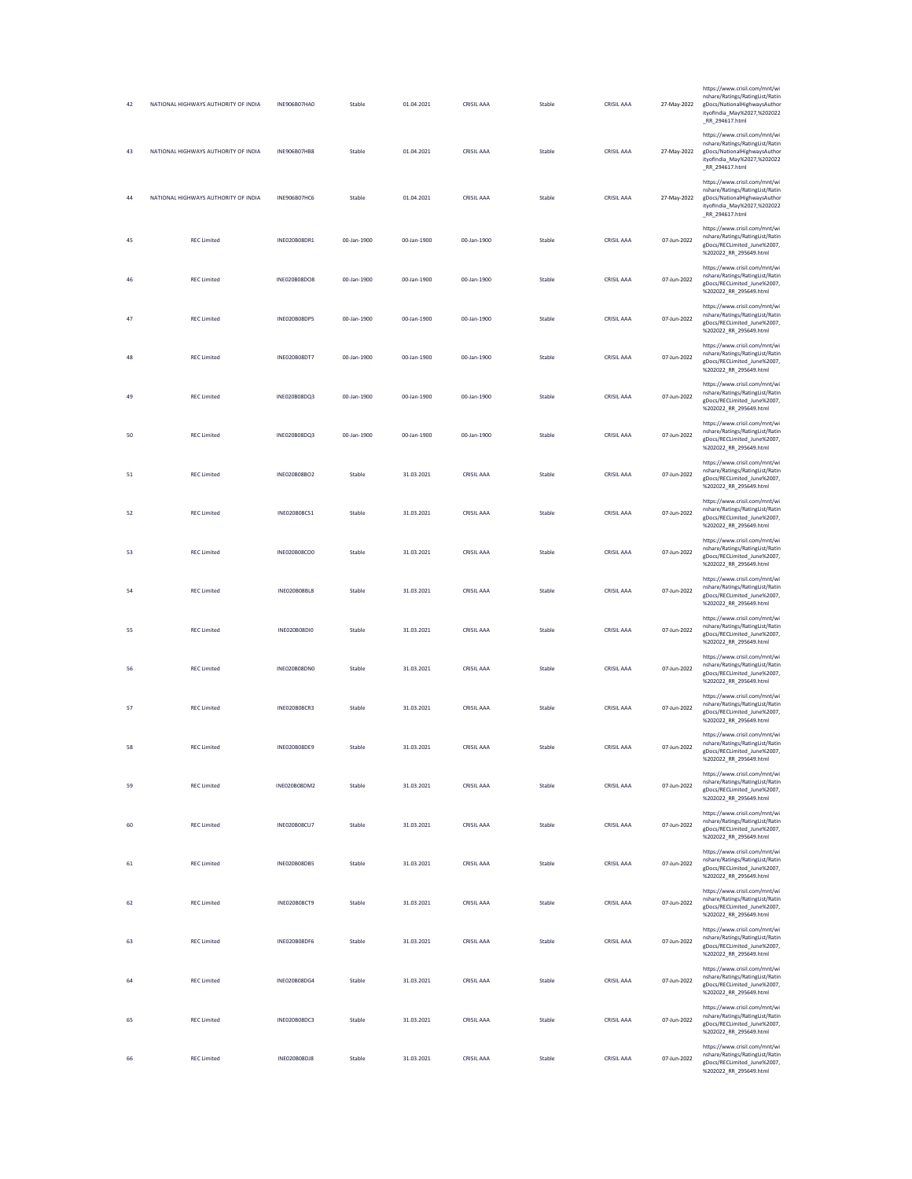| 42 | NATIONAL HIGHWAYS AUTHORITY OF INDIA | INE906B07HA0        | Stable      | 01.04.2021  | CRISIL AAA        | Stable | <b>CRISIL AAA</b> | 27-May-2022 | https://www.crisil.com/mnt/wi<br>nshare/Ratings/RatingList/Ratin<br>gDocs/NationalHighwaysAuthor<br>ityofIndia_May%2027,%202022<br>_RR_294617.html |
|----|--------------------------------------|---------------------|-------------|-------------|-------------------|--------|-------------------|-------------|----------------------------------------------------------------------------------------------------------------------------------------------------|
| 43 | NATIONAL HIGHWAYS AUTHORITY OF INDIA | INE906B07HB8        | Stable      | 01.04.2021  | CRISIL AAA        | Stable | <b>CRISIL AAA</b> | 27-May-2022 | https://www.crisil.com/mnt/wi<br>nshare/Ratings/RatingList/Ratin<br>gDocs/NationalHighwaysAuthor<br>ityofIndia_May%2027,%202022<br>_RR_294617.html |
| 44 | NATIONAL HIGHWAYS AUTHORITY OF INDIA | INE906B07HC6        | Stable      | 01.04.2021  | CRISIL AAA        | Stable | <b>CRISIL AAA</b> | 27-May-2022 | https://www.crisil.com/mnt/wi<br>nshare/Ratings/RatingList/Ratin<br>gDocs/NationalHighwaysAuthor<br>ityofIndia_May%2027,%202022<br>_RR_294617.html |
| 45 | <b>REC Limited</b>                   | INE020B08DR1        | 00-Jan-1900 | 00-Jan-1900 | 00-Jan-1900       | Stable | <b>CRISIL AAA</b> | 07-Jun-2022 | https://www.crisil.com/mnt/wi<br>nshare/Ratings/RatingList/Ratin<br>gDocs/RECLimited_June%2007,<br>%202022_RR_295649.html                          |
| 46 | <b>REC Limited</b>                   | INE020B08DO8        | 00-Jan-1900 | 00-Jan-1900 | 00-Jan-1900       | Stable | <b>CRISIL AAA</b> | 07-Jun-2022 | https://www.crisil.com/mnt/wi<br>nshare/Ratings/RatingList/Ratin<br>gDocs/RECLimited_June%2007,<br>%202022 RR 295649.html                          |
| 47 | <b>REC Limited</b>                   | INE020B08DP5        | 00-Jan-1900 | 00-Jan-1900 | 00-Jan-1900       | Stable | <b>CRISIL AAA</b> | 07-Jun-2022 | https://www.crisil.com/mnt/wi<br>nshare/Ratings/RatingList/Ratin<br>gDocs/RECLimited_June%2007,<br>%202022_RR_295649.html                          |
| 48 | <b>REC Limited</b>                   | INE020B08DT7        | 00-Jan-1900 | 00-Jan-1900 | 00-Jan-1900       | Stable | <b>CRISIL AAA</b> | 07-Jun-2022 | https://www.crisil.com/mnt/wi<br>nshare/Ratings/RatingList/Ratin<br>gDocs/RECLimited_June%2007,<br>%202022_RR_295649.html                          |
| 49 | <b>REC Limited</b>                   | INE020B08DQ3        | 00-Jan-1900 | 00-Jan-1900 | 00-Jan-1900       | Stable | <b>CRISIL AAA</b> | 07-Jun-2022 | https://www.crisil.com/mnt/wi<br>nshare/Ratings/RatingList/Ratin<br>gDocs/RECLimited_June%2007,<br>%202022_RR_295649.html                          |
| 50 | <b>REC Limited</b>                   | INE020B08DQ3        | 00-Jan-1900 | 00-Jan-1900 | 00-Jan-1900       | Stable | CRISIL AAA        | 07-Jun-2022 | https://www.crisil.com/mnt/wi<br>nshare/Ratings/RatingList/Ratin<br>gDocs/RECLimited June%2007,<br>%202022_RR_295649.html                          |
| 51 | <b>REC Limited</b>                   | INE020B08BO2        | Stable      | 31.03.2021  | CRISIL AAA        | Stable | <b>CRISIL AAA</b> | 07-Jun-2022 | https://www.crisil.com/mnt/wi<br>nshare/Ratings/RatingList/Ratin<br>gDocs/RECLimited_June%2007,<br>%202022 RR 295649.html                          |
| 52 | <b>REC Limited</b>                   | INE020B08CS1        | Stable      | 31.03.2021  | CRISIL AAA        | Stable | <b>CRISIL AAA</b> | 07-Jun-2022 | https://www.crisil.com/mnt/wi<br>nshare/Ratings/RatingList/Ratin<br>gDocs/RECLimited_June%2007,<br>%202022_RR_295649.html                          |
| 53 | <b>REC Limited</b>                   | INE020B08CO0        | Stable      | 31.03.2021  | <b>CRISIL AAA</b> | Stable | <b>CRISIL AAA</b> | 07-Jun-2022 | https://www.crisil.com/mnt/wi<br>nshare/Ratings/RatingList/Ratin<br>gDocs/RECLimited June%2007,<br>%202022_RR_295649.html                          |
| 54 | <b>REC Limited</b>                   | <b>INE020B08BL8</b> | Stable      | 31.03.2021  | CRISIL AAA        | Stable | <b>CRISIL AAA</b> | 07-Jun-2022 | https://www.crisil.com/mnt/wi<br>nshare/Ratings/RatingList/Ratin<br>gDocs/RECLimited_June%2007,<br>%202022_RR_295649.html                          |
| 55 | <b>REC Limited</b>                   | <b>INE020B08DIO</b> | Stable      | 31.03.2021  | <b>CRISIL AAA</b> | Stable | <b>CRISIL AAA</b> | 07-Jun-2022 | https://www.crisil.com/mnt/wi<br>nshare/Ratings/RatingList/Ratin<br>gDocs/RECLimited June%2007,<br>%202022_RR_295649.html                          |
| 56 | <b>REC Limited</b>                   | INE020B08DN0        | Stable      | 31.03.2021  | CRISIL AAA        | Stable | <b>CRISIL AAA</b> | 07-Jun-2022 | https://www.crisil.com/mnt/wi<br>nshare/Ratings/RatingList/Ratin<br>gDocs/RECLimited_June%2007,<br>%202022_RR_295649.html                          |
| 57 | <b>REC Limited</b>                   | <b>INE020B08CR3</b> | Stable      | 31.03.2021  | CRISIL AAA        | Stable | CRISIL AAA        | 07-Jun-2022 | https://www.crisil.com/mnt/wi<br>nshare/Ratings/RatingList/Ratin<br>gDocs/RECLimited_June%2007,<br>%202022_RR_295649.html                          |
| 58 | <b>REC Limited</b>                   | INE020B08DE9        | Stable      | 31.03.2021  | <b>CRISIL AAA</b> | Stable | <b>CRISIL AAA</b> | 07-Jun-2022 | https://www.crisil.com/mnt/wi<br>nshare/Ratings/RatingList/Ratin<br>gDocs/RECLimited_June%2007,<br>%202022_RR_295649.html                          |
| 59 | <b>REC Limited</b>                   | INE020B08DM2        | Stable      | 31.03.2021  | CRISIL AAA        | Stable | <b>CRISIL AAA</b> | 07-Jun-2022 | https://www.crisil.com/mnt/wi<br>nshare/Ratings/RatingList/Ratin<br>gDocs/RECLimited_June%2007,<br>%202022_RR_295649.html                          |
| 60 | <b>REC Limited</b>                   | INE020B08CU7        | Stable      | 31.03.2021  | CRISIL AAA        | Stable | <b>CRISIL AAA</b> | 07-Jun-2022 | https://www.crisil.com/mnt/wi<br>nshare/Ratings/RatingList/Ratin<br>gDocs/RECLimited_June%2007,<br>%202022_RR_295649.html                          |
| 61 | <b>REC Limited</b>                   | INE020B08DB5        | Stable      | 31.03.2021  | CRISIL AAA        | Stable | <b>CRISIL AAA</b> | 07-Jun-2022 | https://www.crisil.com/mnt/wi<br>nshare/Ratings/RatingList/Ratin<br>gDocs/RECLimited_June%2007,<br>%202022_RR_295649.html                          |
| 62 | <b>REC Limited</b>                   | <b>INE020B08CT9</b> | Stable      | 31.03.2021  | <b>CRISIL AAA</b> | Stable | <b>CRISIL AAA</b> | 07-Jun-2022 | https://www.crisil.com/mnt/wi<br>nshare/Ratings/RatingList/Ratin<br>gDocs/RECLimited June%2007,<br>%202022_RR_295649.html                          |
| 63 | <b>REC Limited</b>                   | INE020B08DF6        | Stable      | 31.03.2021  | CRISIL AAA        | Stable | <b>CRISIL AAA</b> | 07-Jun-2022 | https://www.crisil.com/mnt/wi<br>nshare/Ratings/RatingList/Ratin<br>gDocs/RECLimited_June%2007,<br>%202022_RR_295649.html                          |
| 64 | <b>REC Limited</b>                   | INE020B08DG4        | Stable      | 31.03.2021  | <b>CRISIL AAA</b> | Stable | <b>CRISIL AAA</b> | 07-Jun-2022 | https://www.crisil.com/mnt/wi<br>nshare/Ratings/RatingList/Ratin<br>gDocs/RECLimited June%2007,<br>%202022_RR_295649.html                          |
| 65 | <b>REC Limited</b>                   | INE020B08DC3        | Stable      | 31.03.2021  | CRISIL AAA        | Stable | CRISIL AAA        | 07-Jun-2022 | https://www.crisil.com/mnt/wi<br>nshare/Ratings/RatingList/Ratin<br>gDocs/RECLimited_June%2007,<br>%202022 RR 295649.html                          |
| 66 | <b>REC Limited</b>                   | <b>INE020B08DJ8</b> | Stable      | 31.03.2021  | <b>CRISIL AAA</b> | Stable | <b>CRISIL AAA</b> | 07-Jun-2022 | https://www.crisil.com/mnt/wi<br>nshare/Ratings/RatingList/Ratin<br>gDocs/RECLimited_June%2007,<br>%202022_RR_295649.html                          |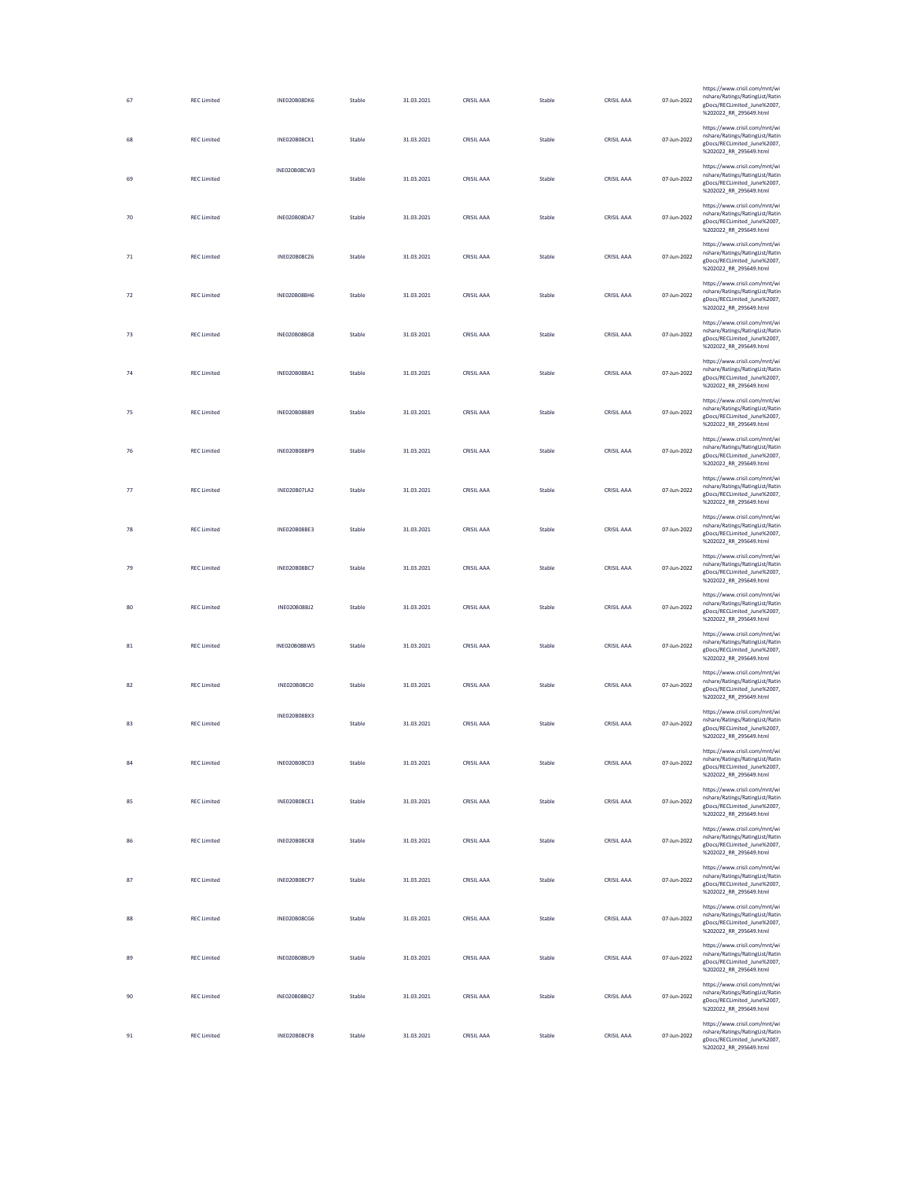| 67 | <b>REC Limited</b> | INE020B08DK6        | Stable | 31.03.2021 | CRISIL AAA        | Stable | CRISIL AAA        | 07-Jun-2022 | https://www.crisil.com/mnt/wi<br>nshare/Ratings/RatingList/Ratin<br>gDocs/RECLimited_June%2007,<br>%202022_RR_295649.html |
|----|--------------------|---------------------|--------|------------|-------------------|--------|-------------------|-------------|---------------------------------------------------------------------------------------------------------------------------|
| 68 | <b>REC Limited</b> | INE020B08CX1        | Stable | 31.03.2021 | <b>CRISIL AAA</b> | Stable | <b>CRISIL AAA</b> | 07-Jun-2022 | https://www.crisil.com/mnt/wi<br>nshare/Ratings/RatingList/Ratin<br>gDocs/RECLimited_June%2007,<br>%202022_RR_295649.html |
| 69 | <b>REC Limited</b> | INE020B08CW3        | Stable | 31.03.2021 | CRISIL AAA        | Stable | CRISIL AAA        | 07-Jun-2022 | https://www.crisil.com/mnt/wi<br>nshare/Ratings/RatingList/Ratin<br>gDocs/RECLimited_June%2007,<br>%202022_RR_295649.html |
| 70 | <b>REC Limited</b> | INE020B08DA7        | Stable | 31.03.2021 | <b>CRISIL AAA</b> | Stable | <b>CRISIL AAA</b> | 07-Jun-2022 | https://www.crisil.com/mnt/wi<br>nshare/Ratings/RatingList/Ratin<br>gDocs/RECLimited_June%2007,<br>%202022_RR_295649.html |
| 71 | <b>REC Limited</b> | <b>INE020B08CZ6</b> | Stable | 31.03.2021 | <b>CRISIL AAA</b> | Stable | <b>CRISIL AAA</b> | 07-Jun-2022 | https://www.crisil.com/mnt/wi<br>nshare/Ratings/RatingList/Ratin<br>gDocs/RECLimited June%2007,<br>%202022 RR 295649.html |
| 72 | <b>REC Limited</b> | INE020B08BH6        | Stable | 31.03.2021 | CRISIL AAA        | Stable | CRISIL AAA        | 07-Jun-2022 | https://www.crisil.com/mnt/wi<br>nshare/Ratings/RatingList/Ratin<br>gDocs/RECLimited_June%2007,<br>%202022_RR_295649.html |
| 73 | <b>REC Limited</b> | INE020B08BG8        | Stable | 31.03.2021 | <b>CRISIL AAA</b> | Stable | <b>CRISIL AAA</b> | 07-Jun-2022 | https://www.crisil.com/mnt/wi<br>nshare/Ratings/RatingList/Ratin<br>gDocs/RECLimited_June%2007,<br>%202022_RR_295649.html |
| 74 | <b>REC Limited</b> | INE020B08BA1        | Stable | 31.03.2021 | CRISIL AAA        | Stable | CRISIL AAA        | 07-Jun-2022 | https://www.crisil.com/mnt/wi<br>nshare/Ratings/RatingList/Ratin<br>gDocs/RECLimited_June%2007,<br>%202022_RR_295649.html |
| 75 | <b>REC Limited</b> | <b>INE020B08BB9</b> | Stable | 31.03.2021 | <b>CRISIL AAA</b> | Stable | <b>CRISIL AAA</b> | 07-Jun-2022 | https://www.crisil.com/mnt/wi<br>nshare/Ratings/RatingList/Ratin<br>gDocs/RECLimited June%2007,<br>%202022_RR_295649.html |
| 76 | <b>REC Limited</b> | INE020B08BP9        | Stable | 31.03.2021 | CRISIL AAA        | Stable | CRISIL AAA        | 07-Jun-2022 | https://www.crisil.com/mnt/wi<br>nshare/Ratings/RatingList/Ratin<br>gDocs/RECLimited_June%2007,<br>%202022_RR_295649.html |
| 77 | <b>REC Limited</b> | <b>INE020B07LA2</b> | Stable | 31.03.2021 | CRISIL AAA        | Stable | CRISIL AAA        | 07-Jun-2022 | https://www.crisil.com/mnt/wi<br>nshare/Ratings/RatingList/Ratin<br>gDocs/RECLimited June%2007,<br>%202022_RR_295649.html |
| 78 | <b>REC Limited</b> | INE020B08BE3        | Stable | 31.03.2021 | CRISIL AAA        | Stable | CRISIL AAA        | 07-Jun-2022 | https://www.crisil.com/mnt/wi<br>nshare/Ratings/RatingList/Ratin<br>gDocs/RECLimited_June%2007,<br>%202022_RR_295649.html |
| 79 | <b>REC Limited</b> | INE020B08BC7        | Stable | 31.03.2021 | <b>CRISIL AAA</b> | Stable | <b>CRISIL AAA</b> | 07-Jun-2022 | https://www.crisil.com/mnt/wi<br>nshare/Ratings/RatingList/Ratin<br>gDocs/RECLimited_June%2007,<br>%202022_RR_295649.html |
| 80 | <b>REC Limited</b> | INE020B08BJ2        | Stable | 31.03.2021 | <b>CRISIL AAA</b> | Stable | <b>CRISIL AAA</b> | 07-Jun-2022 | https://www.crisil.com/mnt/wi<br>nshare/Ratings/RatingList/Ratin<br>gDocs/RECLimited_June%2007,<br>%202022_RR_295649.html |
| 81 | <b>REC Limited</b> | INE020B08BW5        | Stable | 31.03.2021 | CRISIL AAA        | Stable | CRISIL AAA        | 07-Jun-2022 | https://www.crisil.com/mnt/wi<br>nshare/Ratings/RatingList/Ratin<br>gDocs/RECLimited_June%2007,<br>%202022_RR_295649.html |
| 82 | <b>REC Limited</b> | <b>INE020B08CJ0</b> | Stable | 31.03.2021 | <b>CRISIL AAA</b> | Stable | <b>CRISIL AAA</b> | 07-Jun-2022 | https://www.crisil.com/mnt/wi<br>nshare/Ratings/RatingList/Ratin<br>eDocs/RECLimited June%2007.<br>%202022 RR 295649.html |
| 83 | <b>REC Limited</b> | INE020B08BX3        | Stable | 31.03.2021 | CRISIL AAA        | Stable | CRISIL AAA        | 07-Jun-2022 | https://www.crisil.com/mnt/wi<br>nshare/Ratings/RatingList/Ratin<br>gDocs/RECLimited_June%2007,<br>%202022_RR_295649.html |
| 84 | <b>REC Limited</b> | <b>INE020B08CD3</b> | Stable | 31.03.2021 | <b>CRISIL AAA</b> | Stable | <b>CRISIL AAA</b> | 07-Jun-2022 | https://www.crisil.com/mnt/wi<br>nshare/Ratings/RatingList/Ratin<br>gDocs/RECLimited_June%2007,<br>%202022_RR_295649.html |
| 85 | <b>REC Limited</b> | INE020B08CE1        | Stable | 31.03.2021 | <b>CRISIL AAA</b> | Stable | CRISIL AAA        | 07-Jun-2022 | https://www.crisil.com/mnt/wi<br>nshare/Ratings/RatingList/Ratin<br>gDocs/RECLimited_June%2007,<br>%202022_RR_295649.html |
| 86 | <b>REC Limited</b> | <b>INE020B08CK8</b> | Stable | 31.03.2021 | <b>CRISIL AAA</b> | Stable | CRISIL AAA        | 07-Jun-2022 | https://www.crisil.com/mnt/wi<br>nshare/Ratings/RatingList/Ratin<br>gDocs/RECLimited_June%2007,<br>%202022_RR_295649.html |
| 87 | <b>REC Limited</b> | INE020B08CP7        | Stable | 31.03.2021 | <b>CRISIL AAA</b> | Stable | CRISIL AAA        | 07-Jun-2022 | https://www.crisil.com/mnt/wi<br>nshare/Ratings/RatingList/Ratin<br>gDocs/RECLimited_June%2007,<br>%202022_RR_295649.html |
| 88 | <b>REC Limited</b> | INE020B08CG6        | Stable | 31.03.2021 | <b>CRISIL AAA</b> | Stable | CRISIL AAA        | 07-Jun-2022 | https://www.crisil.com/mnt/wi<br>nshare/Ratings/RatingList/Ratin<br>gDocs/RECLimited_June%2007,<br>%202022_RR_295649.html |
| 89 | <b>REC Limited</b> | INE020B08BU9        | Stable | 31.03.2021 | <b>CRISIL AAA</b> | Stable | <b>CRISIL AAA</b> | 07-Jun-2022 | https://www.crisil.com/mnt/wi<br>nshare/Ratings/RatingList/Ratin<br>gDocs/RECLimited_June%2007,<br>%202022_RR_295649.html |
| 90 | <b>REC Limited</b> | INE020B08BQ7        | Stable | 31.03.2021 | CRISIL AAA        | Stable | CRISIL AAA        | 07-Jun-2022 | https://www.crisil.com/mnt/wi<br>nshare/Ratings/RatingList/Ratin<br>gDocs/RECLimited_June%2007,<br>%202022_RR_295649.html |
| 91 | <b>REC Limited</b> | <b>INE020B08CF8</b> | Stable | 31.03.2021 | <b>CRISIL AAA</b> | Stable | <b>CRISIL AAA</b> | 07-Jun-2022 | https://www.crisil.com/mnt/wi<br>nshare/Ratings/RatingList/Ratin<br>gDocs/RECLimited_June%2007,<br>%202022_RR_295649.html |